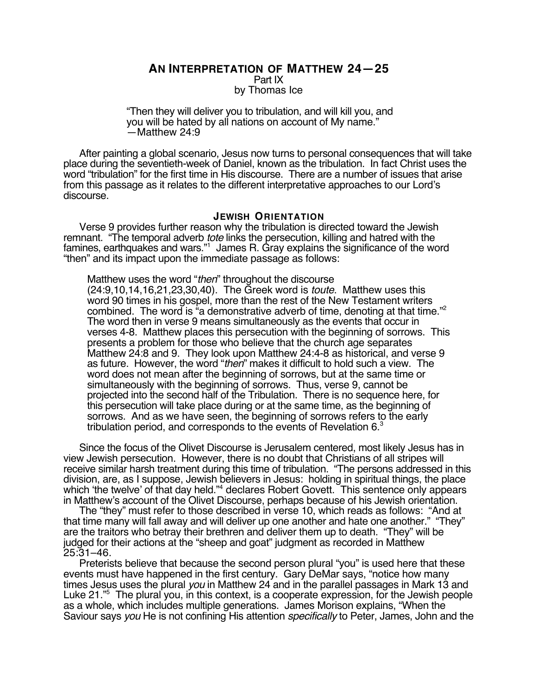**AN INTERPRETATION OF MATTHEW 24—25** Part IX by Thomas Ice

"Then they will deliver you to tribulation, and will kill you, and you will be hated by all nations on account of My name." —Matthew 24:9

After painting a global scenario, Jesus now turns to personal consequences that will take place during the seventieth-week of Daniel, known as the tribulation. In fact Christ uses the word "tribulation" for the first time in His discourse. There are a number of issues that arise from this passage as it relates to the different interpretative approaches to our Lord's discourse.

### **JEWISH ORIENTATION**

Verse 9 provides further reason why the tribulation is directed toward the Jewish remnant. "The temporal adverb tote links the persecution, killing and hatred with the famines, earthquakes and wars."1 James R. Gray explains the significance of the word "then" and its impact upon the immediate passage as follows:

Matthew uses the word "then" throughout the discourse (24:9,10,14,16,21,23,30,40). The Greek word is toute. Matthew uses this word 90 times in his gospel, more than the rest of the New Testament writers combined. The word is "a demonstrative adverb of time, denoting at that time."<sup>2</sup> The word then in verse 9 means simultaneously as the events that occur in verses 4-8. Matthew places this persecution with the beginning of sorrows. This presents a problem for those who believe that the church age separates Matthew 24:8 and 9. They look upon Matthew 24:4-8 as historical, and verse 9 as future. However, the word "then" makes it difficult to hold such a view. The word does not mean after the beginning of sorrows, but at the same time or simultaneously with the beginning of sorrows. Thus, verse 9, cannot be projected into the second half of the Tribulation. There is no sequence here, for this persecution will take place during or at the same time, as the beginning of sorrows. And as we have seen, the beginning of sorrows refers to the early tribulation period, and corresponds to the events of Revelation 6.<sup>3</sup>

Since the focus of the Olivet Discourse is Jerusalem centered, most likely Jesus has in view Jewish persecution. However, there is no doubt that Christians of all stripes will receive similar harsh treatment during this time of tribulation. "The persons addressed in this division, are, as I suppose, Jewish believers in Jesus: holding in spiritual things, the place which 'the twelve' of that day held."<sup>4</sup> declares Robert Govett. This sentence only appears in Matthew's account of the Olivet Discourse, perhaps because of his Jewish orientation.

The "they" must refer to those described in verse 10, which reads as follows: "And at that time many will fall away and will deliver up one another and hate one another." "They" are the traitors who betray their brethren and deliver them up to death. "They" will be judged for their actions at the "sheep and goat" judgment as recorded in Matthew 25:31–46.

Preterists believe that because the second person plural "you" is used here that these events must have happened in the first century. Gary DeMar says, "notice how many times Jesus uses the plural you in Matthew 24 and in the parallel passages in Mark 13 and Luke 21."5 The plural you, in this context, is a cooperate expression, for the Jewish people as a whole, which includes multiple generations. James Morison explains, "When the Saviour says you He is not confining His attention specifically to Peter, James, John and the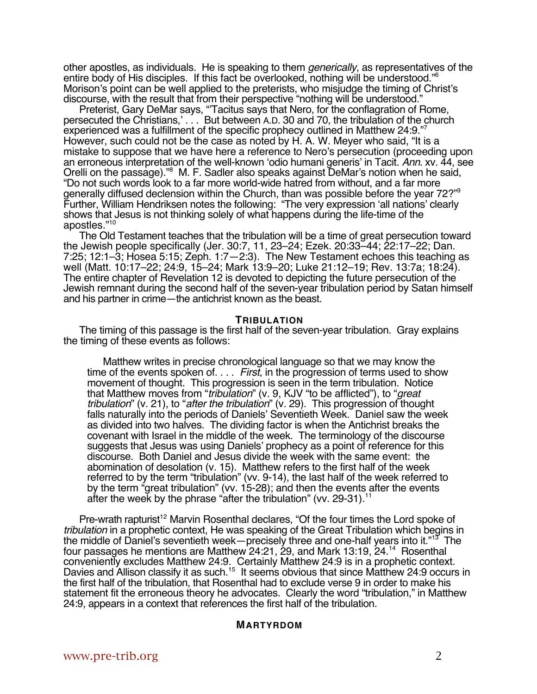other apostles, as individuals. He is speaking to them generically, as representatives of the entire body of His disciples. If this fact be overlooked, nothing will be understood."6 Morison's point can be well applied to the preterists, who misjudge the timing of Christ's discourse, with the result that from their perspective "nothing will be understood."

Preterist, Gary DeMar says, "'Tacitus says that Nero, for the conflagration of Rome, persecuted the Christians,' . . . But between A.D. 30 and 70, the tribulation of the church experienced was a fulfillment of the specific prophecy outlined in Matthew 24:9."7 However, such could not be the case as noted by H. A. W. Meyer who said, "It is a mistake to suppose that we have here a reference to Nero's persecution (proceeding upon an erroneous interpretation of the well-known 'odio humani generis' in Tacit. Ann. xv. 44, see Orelli on the passage)."<sup>8</sup> M. F. Sadler also speaks against DeMar's notion when he said, "Do not such words look to a far more world-wide hatred from without, and a far more generally diffused declension within the Church, than was possible before the year 72?"9 Further, William Hendriksen notes the following: "The very expression 'all nations' clearly shows that Jesus is not thinking solely of what happens during the life-time of the apostles."10

The Old Testament teaches that the tribulation will be a time of great persecution toward the Jewish people specifically (Jer. 30:7, 11, 23–24; Ezek. 20:33–44; 22:17–22; Dan. 7:25; 12:1–3; Hosea 5:15; Zeph. 1:7—2:3). The New Testament echoes this teaching as well (Matt. 10:17–22; 24:9, 15–24; Mark 13:9–20; Luke 21:12–19; Rev. 13:7a; 18:24). The entire chapter of Revelation 12 is devoted to depicting the future persecution of the Jewish remnant during the second half of the seven-year tribulation period by Satan himself and his partner in crime—the antichrist known as the beast.

## **TRIBULATION**

The timing of this passage is the first half of the seven-year tribulation. Gray explains the timing of these events as follows:

Matthew writes in precise chronological language so that we may know the time of the events spoken of. . . . First, in the progression of terms used to show movement of thought. This progression is seen in the term tribulation. Notice that Matthew moves from "tribulation" (v. 9, KJV "to be afflicted"), to "great tribulation" (v. 21), to "after the tribulation" (v. 29). This progression of thought falls naturally into the periods of Daniels' Seventieth Week. Daniel saw the week as divided into two halves. The dividing factor is when the Antichrist breaks the covenant with Israel in the middle of the week. The terminology of the discourse suggests that Jesus was using Daniels' prophecy as a point of reference for this discourse. Both Daniel and Jesus divide the week with the same event: the abomination of desolation (v. 15). Matthew refers to the first half of the week referred to by the term "tribulation" (vv. 9-14), the last half of the week referred to by the term "great tribulation" (vv. 15-28); and then the events after the events after the week by the phrase "after the tribulation" (vv. 29-31).<sup>1</sup>

Pre-wrath rapturist<sup>12</sup> Marvin Rosenthal declares, "Of the four times the Lord spoke of tribulation in a prophetic context, He was speaking of the Great Tribulation which begins in the middle of Daniel's seventieth week—precisely three and one-half years into it."<sup>13</sup> The four passages he mentions are Matthew 24:21, 29, and Mark 13:19, 24.<sup>14</sup> Rosenthal conveniently excludes Matthew 24:9. Certainly Matthew 24:9 is in a prophetic context. Davies and Allison classify it as such.<sup>15</sup> It seems obvious that since Matthew 24:9 occurs in the first half of the tribulation, that Rosenthal had to exclude verse 9 in order to make his statement fit the erroneous theory he advocates. Clearly the word "tribulation," in Matthew 24:9, appears in a context that references the first half of the tribulation.

## **MARTYRDOM**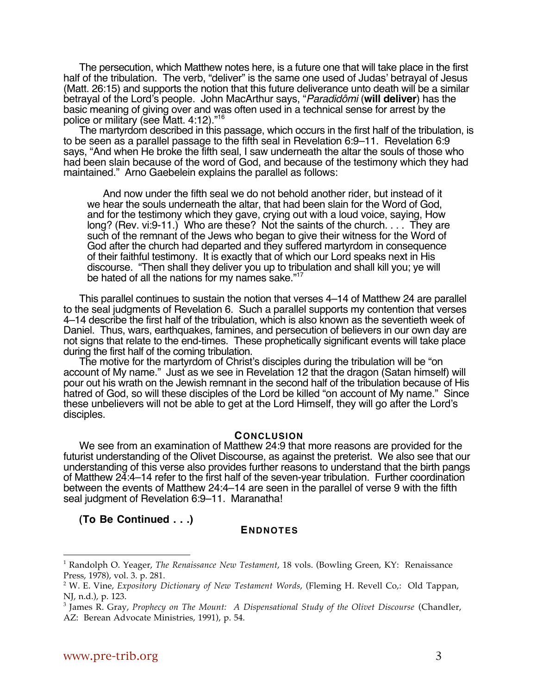The persecution, which Matthew notes here, is a future one that will take place in the first half of the tribulation. The verb, "deliver" is the same one used of Judas' betrayal of Jesus (Matt. 26:15) and supports the notion that this future deliverance unto death will be a similar betrayal of the Lord's people. John MacArthur says, "Paradidômi (**will deliver**) has the basic meaning of giving over and was often used in a technical sense for arrest by the police or military (see Matt. 4:12)."16

The martyrdom described in this passage, which occurs in the first half of the tribulation, is to be seen as a parallel passage to the fifth seal in Revelation 6:9–11. Revelation 6:9 says, "And when He broke the fifth seal, I saw underneath the altar the souls of those who had been slain because of the word of God, and because of the testimony which they had maintained." Arno Gaebelein explains the parallel as follows:

And now under the fifth seal we do not behold another rider, but instead of it we hear the souls underneath the altar, that had been slain for the Word of God, and for the testimony which they gave, crying out with a loud voice, saying, How long? (Rev. vi:9-11.) Who are these? Not the saints of the church. . . . They are such of the remnant of the Jews who began to give their witness for the Word of God after the church had departed and they suffered martyrdom in consequence of their faithful testimony. It is exactly that of which our Lord speaks next in His discourse. "Then shall they deliver you up to tribulation and shall kill you; ye will be hated of all the nations for my names sake."<sup>17</sup>

This parallel continues to sustain the notion that verses 4–14 of Matthew 24 are parallel to the seal judgments of Revelation 6. Such a parallel supports my contention that verses 4–14 describe the first half of the tribulation, which is also known as the seventieth week of Daniel. Thus, wars, earthquakes, famines, and persecution of believers in our own day are not signs that relate to the end-times. These prophetically significant events will take place during the first half of the coming tribulation.

The motive for the martyrdom of Christ's disciples during the tribulation will be "on account of My name." Just as we see in Revelation 12 that the dragon (Satan himself) will pour out his wrath on the Jewish remnant in the second half of the tribulation because of His hatred of God, so will these disciples of the Lord be killed "on account of My name." Since these unbelievers will not be able to get at the Lord Himself, they will go after the Lord's disciples.

## **CONCLUSION**

We see from an examination of Matthew 24:9 that more reasons are provided for the futurist understanding of the Olivet Discourse, as against the preterist. We also see that our understanding of this verse also provides further reasons to understand that the birth pangs of Matthew 24:4–14 refer to the first half of the seven-year tribulation. Further coordination between the events of Matthew 24:4–14 are seen in the parallel of verse 9 with the fifth seal judgment of Revelation 6:9–11. Maranatha!

**(To Be Continued . . .)**

# **ENDNOTES**

 $\overline{a}$ 

<sup>1</sup> Randolph O. Yeager, *The Renaissance New Testament*, 18 vols. (Bowling Green, KY: Renaissance Press, 1978), vol. 3. p. 281.

<sup>2</sup> W. E. Vine, *Expository Dictionary of New Testament Words*, (Fleming H. Revell Co,: Old Tappan, NJ, n.d.), p. 123.

<sup>3</sup> James R. Gray, *Prophecy on The Mount: A Dispensational Study of the Olivet Discourse* (Chandler, AZ: Berean Advocate Ministries, 1991), p. 54.